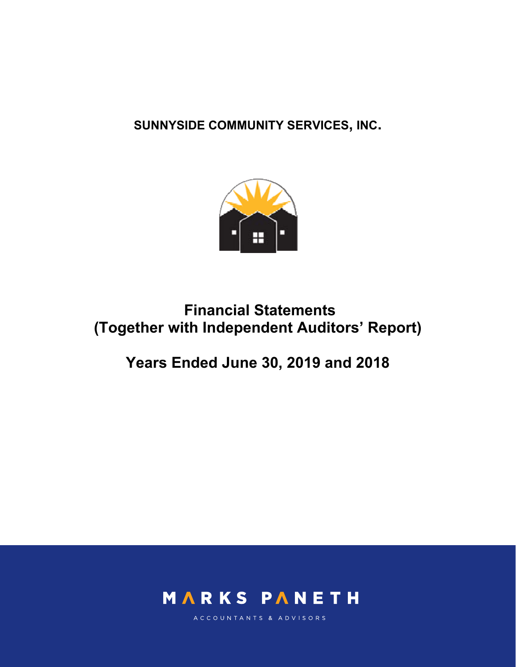**SUNNYSIDE COMMUNITY SERVICES, INC.** 



# **Financial Statements (Together with Independent Auditors' Report)**

# **Years Ended June 30, 2019 and 2018**



ACCOUNTANTS & ADVISORS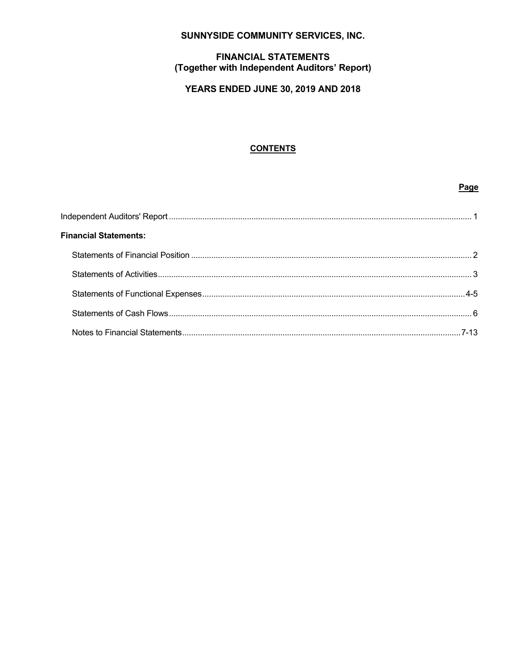# SUNNYSIDE COMMUNITY SERVICES, INC.

# **FINANCIAL STATEMENTS** (Together with Independent Auditors' Report)

# **YEARS ENDED JUNE 30, 2019 AND 2018**

# **CONTENTS**

Page

| <b>Financial Statements:</b> |  |
|------------------------------|--|
|                              |  |
|                              |  |
|                              |  |
|                              |  |
|                              |  |
|                              |  |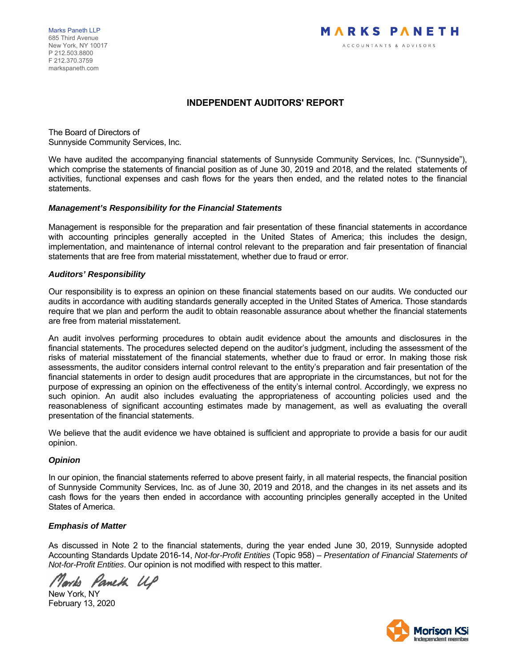Marks Paneth LLP 685 Third Avenue New York, NY 10017 P 212.503.8800 F 212.370.3759 markspaneth.com



# **INDEPENDENT AUDITORS' REPORT**

The Board of Directors of Sunnyside Community Services, Inc.

We have audited the accompanying financial statements of Sunnyside Community Services, Inc. ("Sunnyside"), which comprise the statements of financial position as of June 30, 2019 and 2018, and the related statements of activities, functional expenses and cash flows for the years then ended, and the related notes to the financial statements.

#### *Management's Responsibility for the Financial Statements*

Management is responsible for the preparation and fair presentation of these financial statements in accordance with accounting principles generally accepted in the United States of America; this includes the design, implementation, and maintenance of internal control relevant to the preparation and fair presentation of financial statements that are free from material misstatement, whether due to fraud or error.

#### *Auditors' Responsibility*

Our responsibility is to express an opinion on these financial statements based on our audits. We conducted our audits in accordance with auditing standards generally accepted in the United States of America. Those standards require that we plan and perform the audit to obtain reasonable assurance about whether the financial statements are free from material misstatement.

An audit involves performing procedures to obtain audit evidence about the amounts and disclosures in the financial statements. The procedures selected depend on the auditor's judgment, including the assessment of the risks of material misstatement of the financial statements, whether due to fraud or error. In making those risk assessments, the auditor considers internal control relevant to the entity's preparation and fair presentation of the financial statements in order to design audit procedures that are appropriate in the circumstances, but not for the purpose of expressing an opinion on the effectiveness of the entity's internal control. Accordingly, we express no such opinion. An audit also includes evaluating the appropriateness of accounting policies used and the reasonableness of significant accounting estimates made by management, as well as evaluating the overall presentation of the financial statements.

We believe that the audit evidence we have obtained is sufficient and appropriate to provide a basis for our audit opinion.

# *Opinion*

In our opinion, the financial statements referred to above present fairly, in all material respects, the financial position of Sunnyside Community Services, Inc. as of June 30, 2019 and 2018, and the changes in its net assets and its cash flows for the years then ended in accordance with accounting principles generally accepted in the United States of America.

# *Emphasis of Matter*

As discussed in Note 2 to the financial statements, during the year ended June 30, 2019, Sunnyside adopted Accounting Standards Update 2016-14, *Not-for-Profit Entities* (Topic 958) – *Presentation of Financial Statements of Not-for-Profit Entities*. Our opinion is not modified with respect to this matter.

Norrh Pameth UP

New York, NY February 13, 2020

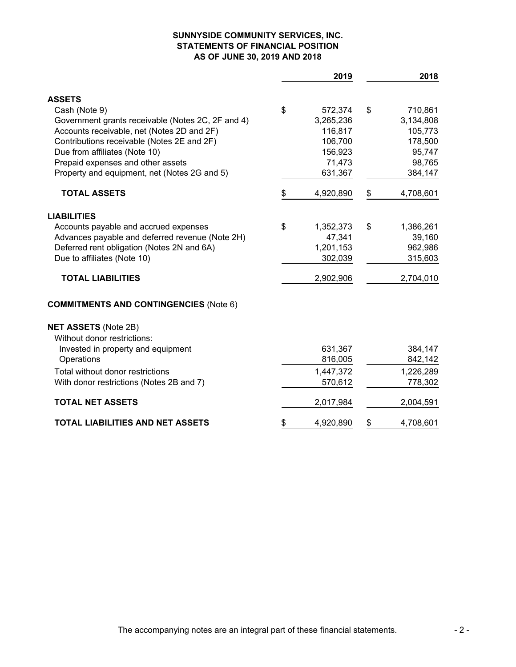# **SUNNYSIDE COMMUNITY SERVICES, INC. STATEMENTS OF FINANCIAL POSITION AS OF JUNE 30, 2019 AND 2018**

|                                                   | 2019            | 2018            |
|---------------------------------------------------|-----------------|-----------------|
| <b>ASSETS</b>                                     |                 |                 |
| Cash (Note 9)                                     | \$<br>572,374   | \$<br>710,861   |
| Government grants receivable (Notes 2C, 2F and 4) | 3,265,236       | 3,134,808       |
| Accounts receivable, net (Notes 2D and 2F)        | 116,817         | 105,773         |
| Contributions receivable (Notes 2E and 2F)        | 106,700         | 178,500         |
| Due from affiliates (Note 10)                     | 156,923         | 95,747          |
| Prepaid expenses and other assets                 | 71,473          | 98,765          |
| Property and equipment, net (Notes 2G and 5)      | 631,367         | 384,147         |
| <b>TOTAL ASSETS</b>                               | \$<br>4,920,890 | \$<br>4,708,601 |
| <b>LIABILITIES</b>                                |                 |                 |
| Accounts payable and accrued expenses             | \$<br>1,352,373 | \$<br>1,386,261 |
| Advances payable and deferred revenue (Note 2H)   | 47,341          | 39,160          |
| Deferred rent obligation (Notes 2N and 6A)        | 1,201,153       | 962,986         |
| Due to affiliates (Note 10)                       | 302,039         | 315,603         |
| <b>TOTAL LIABILITIES</b>                          | 2,902,906       | 2,704,010       |
| <b>COMMITMENTS AND CONTINGENCIES (Note 6)</b>     |                 |                 |
| <b>NET ASSETS (Note 2B)</b>                       |                 |                 |
| Without donor restrictions:                       |                 |                 |
| Invested in property and equipment                | 631,367         | 384,147         |
| Operations                                        | 816,005         | 842,142         |
| Total without donor restrictions                  | 1,447,372       | 1,226,289       |
| With donor restrictions (Notes 2B and 7)          | 570,612         | 778,302         |
| <b>TOTAL NET ASSETS</b>                           | 2,017,984       | 2,004,591       |
| <b>TOTAL LIABILITIES AND NET ASSETS</b>           | \$<br>4,920,890 | \$<br>4,708,601 |
|                                                   |                 |                 |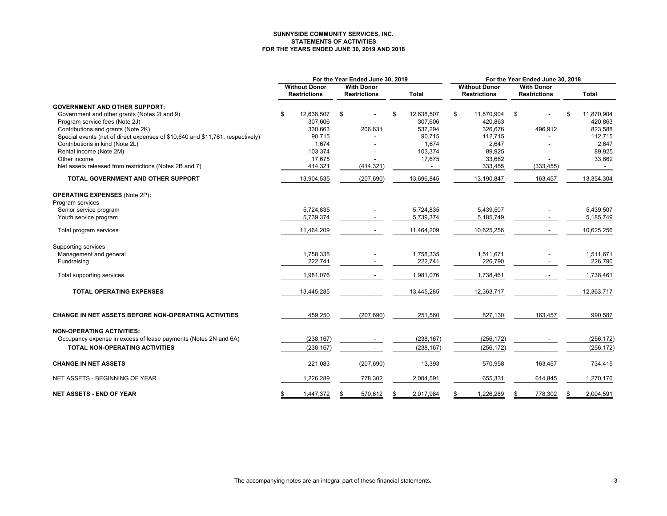#### **SUNNYSIDE COMMUNITY SERVICES, INC. STATEMENTS OF ACTIVITIES FOR THE YEARS ENDED JUNE 30, 2019 AND 2018**

|                                                                                                     | For the Year Ended June 30, 2019 |                                             |    | For the Year Ended June 30, 2018         |                  |                                             |    |                                          |    |              |
|-----------------------------------------------------------------------------------------------------|----------------------------------|---------------------------------------------|----|------------------------------------------|------------------|---------------------------------------------|----|------------------------------------------|----|--------------|
|                                                                                                     |                                  | <b>Without Donor</b><br><b>Restrictions</b> |    | <b>With Donor</b><br><b>Restrictions</b> | <b>Total</b>     | <b>Without Donor</b><br><b>Restrictions</b> |    | <b>With Donor</b><br><b>Restrictions</b> |    | <b>Total</b> |
| <b>GOVERNMENT AND OTHER SUPPORT:</b>                                                                |                                  |                                             |    |                                          |                  |                                             |    |                                          |    |              |
| Government and other grants (Notes 2I and 9)                                                        | \$                               | 12,638,507                                  | \$ |                                          | \$<br>12,638,507 | \$<br>11,870,904                            | \$ |                                          | \$ | 11,870,904   |
| Program service fees (Note 2J)                                                                      |                                  | 307,606                                     |    |                                          | 307.606          | 420.863                                     |    |                                          |    | 420,863      |
| Contributions and grants (Note 2K)                                                                  |                                  | 330,663                                     |    | 206,631                                  | 537,294          | 326,676                                     |    | 496,912                                  |    | 823,588      |
| Special events (net of direct expenses of \$10,640 and \$11,761, respectively)                      |                                  | 90,715                                      |    |                                          | 90,715           | 112,715                                     |    |                                          |    | 112,715      |
| Contributions in kind (Note 2L)                                                                     |                                  | 1,674                                       |    |                                          | 1,674            | 2,647                                       |    |                                          |    | 2,647        |
| Rental income (Note 2M)                                                                             |                                  | 103,374                                     |    |                                          | 103,374          | 89,925                                      |    |                                          |    | 89,925       |
| Other income                                                                                        |                                  | 17,675                                      |    |                                          | 17,675           | 33,662                                      |    |                                          |    | 33,662       |
| Net assets released from restrictions (Notes 2B and 7)                                              |                                  | 414,321                                     |    | (414, 321)                               | $\sim$           | 333,455                                     |    | (333, 455)                               |    |              |
| TOTAL GOVERNMENT AND OTHER SUPPORT                                                                  |                                  | 13,904,535                                  |    | (207, 690)                               | 13,696,845       | 13,190,847                                  |    | 163,457                                  |    | 13,354,304   |
| <b>OPERATING EXPENSES (Note 2P):</b>                                                                |                                  |                                             |    |                                          |                  |                                             |    |                                          |    |              |
| Program services                                                                                    |                                  |                                             |    |                                          |                  |                                             |    |                                          |    |              |
| Senior service program                                                                              |                                  | 5,724,835                                   |    |                                          | 5,724,835        | 5,439,507                                   |    |                                          |    | 5,439,507    |
| Youth service program                                                                               |                                  | 5,739,374                                   |    |                                          | 5,739,374        | 5,185,749                                   |    |                                          |    | 5,185,749    |
| Total program services                                                                              |                                  | 11,464,209                                  |    |                                          | 11,464,209       | 10,625,256                                  |    |                                          |    | 10,625,256   |
| Supporting services                                                                                 |                                  |                                             |    |                                          |                  |                                             |    |                                          |    |              |
| Management and general                                                                              |                                  | 1,758,335                                   |    |                                          | 1,758,335        | 1,511,671                                   |    |                                          |    | 1,511,671    |
| Fundraising                                                                                         |                                  | 222,741                                     |    |                                          | 222,741          | 226,790                                     |    |                                          |    | 226,790      |
|                                                                                                     |                                  |                                             |    |                                          |                  |                                             |    |                                          |    |              |
| Total supporting services                                                                           |                                  | 1,981,076                                   |    |                                          | 1,981,076        | 1,738,461                                   |    |                                          |    | 1,738,461    |
| <b>TOTAL OPERATING EXPENSES</b>                                                                     |                                  | 13,445,285                                  |    |                                          | 13,445,285       | 12,363,717                                  |    |                                          |    | 12,363,717   |
| <b>CHANGE IN NET ASSETS BEFORE NON-OPERATING ACTIVITIES</b>                                         |                                  | 459,250                                     |    | (207, 690)                               | 251,560          | 827,130                                     |    | 163,457                                  |    | 990,587      |
|                                                                                                     |                                  |                                             |    |                                          |                  |                                             |    |                                          |    |              |
| <b>NON-OPERATING ACTIVITIES:</b><br>Occupancy expense in excess of lease payments (Notes 2N and 6A) |                                  | (238, 167)                                  |    |                                          | (238, 167)       | (256, 172)                                  |    |                                          |    | (256, 172)   |
|                                                                                                     |                                  |                                             |    |                                          |                  |                                             |    |                                          |    |              |
| <b>TOTAL NON-OPERATING ACTIVITIES</b>                                                               |                                  | (238, 167)                                  |    |                                          | (238, 167)       | (256, 172)                                  |    | $\blacksquare$                           |    | (256, 172)   |
| <b>CHANGE IN NET ASSETS</b>                                                                         |                                  | 221,083                                     |    | (207, 690)                               | 13,393           | 570,958                                     |    | 163,457                                  |    | 734,415      |
| NET ASSETS - BEGINNING OF YEAR                                                                      |                                  | 1,226,289                                   |    | 778,302                                  | 2,004,591        | 655,331                                     |    | 614,845                                  |    | 1,270,176    |
| <b>NET ASSETS - END OF YEAR</b>                                                                     | \$                               | 1,447,372                                   | S  | 570,612                                  | \$<br>2,017,984  | \$<br>1,226,289                             | \$ | 778,302                                  | \$ | 2.004.591    |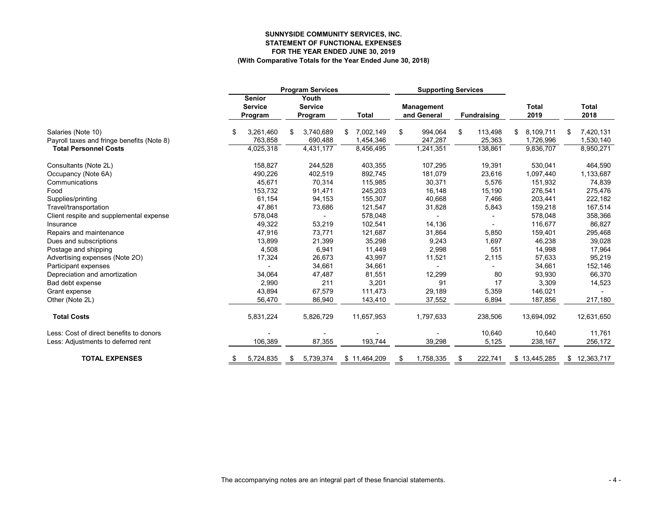#### **SUNNYSIDE COMMUNITY SERVICES, INC. STATEMENT OF FUNCTIONAL EXPENSES FOR THE YEAR ENDED JUNE 30, 2019 (With Comparative Totals for the Year Ended June 30, 2018)**

|                                            |     |                                            | <b>Program Services</b> |                                    |    | <b>Supporting Services</b> |    |                           |    |                    |                      |   |                      |
|--------------------------------------------|-----|--------------------------------------------|-------------------------|------------------------------------|----|----------------------------|----|---------------------------|----|--------------------|----------------------|---|----------------------|
|                                            |     | <b>Senior</b><br><b>Service</b><br>Program |                         | Youth<br><b>Service</b><br>Program |    | <b>Total</b>               |    | Management<br>and General |    | <b>Fundraising</b> | <b>Total</b><br>2019 |   | <b>Total</b><br>2018 |
| Salaries (Note 10)                         | \$. | 3,261,460                                  | \$                      | 3,740,689                          | \$ | 7,002,149                  | \$ | 994,064                   | \$ | 113,498            | \$<br>8,109,711      | S | 7,420,131            |
| Payroll taxes and fringe benefits (Note 8) |     | 763,858                                    |                         | 690,488                            |    | 1,454,346                  |    | 247,287                   |    | 25,363             | 1,726,996            |   | 1,530,140            |
| <b>Total Personnel Costs</b>               |     | 4,025,318                                  |                         | 4,431,177                          |    | 8,456,495                  |    | 1,241,351                 |    | 138,861            | 9,836,707            |   | 8,950,271            |
| Consultants (Note 2L)                      |     | 158,827                                    |                         | 244,528                            |    | 403,355                    |    | 107,295                   |    | 19,391             | 530,041              |   | 464,590              |
| Occupancy (Note 6A)                        |     | 490,226                                    |                         | 402,519                            |    | 892,745                    |    | 181,079                   |    | 23,616             | 1,097,440            |   | 1,133,687            |
| Communications                             |     | 45,671                                     |                         | 70,314                             |    | 115,985                    |    | 30,371                    |    | 5,576              | 151,932              |   | 74,839               |
| Food                                       |     | 153,732                                    |                         | 91,471                             |    | 245,203                    |    | 16,148                    |    | 15,190             | 276,541              |   | 275,476              |
| Supplies/printing                          |     | 61,154                                     |                         | 94,153                             |    | 155,307                    |    | 40,668                    |    | 7,466              | 203,441              |   | 222,182              |
| Travel/transportation                      |     | 47,861                                     |                         | 73,686                             |    | 121,547                    |    | 31,828                    |    | 5,843              | 159,218              |   | 167,514              |
| Client respite and supplemental expense    |     | 578,048                                    |                         |                                    |    | 578,048                    |    |                           |    |                    | 578,048              |   | 358,366              |
| Insurance                                  |     | 49,322                                     |                         | 53,219                             |    | 102,541                    |    | 14,136                    |    |                    | 116,677              |   | 86,827               |
| Repairs and maintenance                    |     | 47,916                                     |                         | 73,771                             |    | 121,687                    |    | 31,864                    |    | 5,850              | 159,401              |   | 295,468              |
| Dues and subscriptions                     |     | 13,899                                     |                         | 21,399                             |    | 35,298                     |    | 9,243                     |    | 1,697              | 46,238               |   | 39,028               |
| Postage and shipping                       |     | 4,508                                      |                         | 6,941                              |    | 11,449                     |    | 2,998                     |    | 551                | 14,998               |   | 17,964               |
| Advertising expenses (Note 2O)             |     | 17,324                                     |                         | 26,673                             |    | 43,997                     |    | 11,521                    |    | 2,115              | 57,633               |   | 95,219               |
| Participant expenses                       |     |                                            |                         | 34,661                             |    | 34,661                     |    |                           |    |                    | 34,661               |   | 152,146              |
| Depreciation and amortization              |     | 34,064                                     |                         | 47,487                             |    | 81,551                     |    | 12,299                    |    | 80                 | 93,930               |   | 66,370               |
| Bad debt expense                           |     | 2,990                                      |                         | 211                                |    | 3,201                      |    | 91                        |    | 17                 | 3,309                |   | 14,523               |
| Grant expense                              |     | 43,894                                     |                         | 67,579                             |    | 111,473                    |    | 29,189                    |    | 5,359              | 146,021              |   |                      |
| Other (Note 2L)                            |     | 56,470                                     |                         | 86,940                             |    | 143,410                    |    | 37,552                    |    | 6,894              | 187,856              |   | 217,180              |
| <b>Total Costs</b>                         |     | 5,831,224                                  |                         | 5,826,729                          |    | 11,657,953                 |    | 1,797,633                 |    | 238,506            | 13,694,092           |   | 12,631,650           |
| Less: Cost of direct benefits to donors    |     |                                            |                         |                                    |    |                            |    |                           |    | 10,640             | 10,640               |   | 11,761               |
| Less: Adjustments to deferred rent         |     | 106.389                                    |                         | 87,355                             |    | 193,744                    |    | 39,298                    |    | 5,125              | 238,167              |   | 256,172              |
| <b>TOTAL EXPENSES</b>                      | \$  | 5,724,835                                  | S                       | 5,739,374                          |    | \$11,464,209               | \$ | 1,758,335                 | S  | 222,741            | \$13,445,285         |   | \$12,363,717         |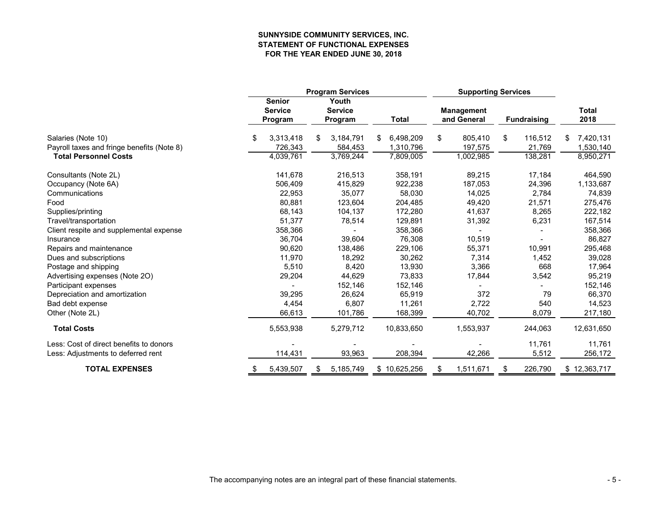# **SUNNYSIDE COMMUNITY SERVICES, INC. STATEMENT OF FUNCTIONAL EXPENSES FOR THE YEAR ENDED JUNE 30, 2018**

|                                            |                                            | <b>Program Services</b>            |                | <b>Supporting Services</b>       |                    |                      |
|--------------------------------------------|--------------------------------------------|------------------------------------|----------------|----------------------------------|--------------------|----------------------|
|                                            | <b>Senior</b><br><b>Service</b><br>Program | Youth<br><b>Service</b><br>Program | Total          | <b>Management</b><br>and General | <b>Fundraising</b> | <b>Total</b><br>2018 |
| Salaries (Note 10)                         | \$<br>3,313,418                            | 3,184,791<br>S                     | 6,498,209<br>S | 805,410<br>\$                    | 116,512<br>\$      | 7,420,131<br>\$      |
| Payroll taxes and fringe benefits (Note 8) | 726,343                                    | 584,453                            | 1,310,796      | 197,575                          | 21,769             | 1,530,140            |
| <b>Total Personnel Costs</b>               | 4,039,761                                  | 3,769,244                          | 7,809,005      | 1,002,985                        | 138,281            | 8,950,271            |
| Consultants (Note 2L)                      | 141,678                                    | 216,513                            | 358,191        | 89,215                           | 17,184             | 464,590              |
| Occupancy (Note 6A)                        | 506,409                                    | 415,829                            | 922,238        | 187,053                          | 24,396             | 1,133,687            |
| Communications                             | 22,953                                     | 35,077                             | 58,030         | 14,025                           | 2,784              | 74,839               |
| Food                                       | 80,881                                     | 123,604                            | 204,485        | 49,420                           | 21,571             | 275,476              |
| Supplies/printing                          | 68,143                                     | 104,137                            | 172,280        | 41,637                           | 8,265              | 222,182              |
| Travel/transportation                      | 51,377                                     | 78,514                             | 129,891        | 31,392                           | 6,231              | 167,514              |
| Client respite and supplemental expense    | 358,366                                    |                                    | 358,366        |                                  |                    | 358,366              |
| Insurance                                  | 36,704                                     | 39,604                             | 76,308         | 10,519                           |                    | 86,827               |
| Repairs and maintenance                    | 90,620                                     | 138,486                            | 229,106        | 55,371                           | 10,991             | 295,468              |
| Dues and subscriptions                     | 11,970                                     | 18,292                             | 30,262         | 7,314                            | 1,452              | 39,028               |
| Postage and shipping                       | 5,510                                      | 8,420                              | 13,930         | 3,366                            | 668                | 17,964               |
| Advertising expenses (Note 2O)             | 29,204                                     | 44,629                             | 73,833         | 17,844                           | 3,542              | 95,219               |
| Participant expenses                       |                                            | 152,146                            | 152,146        |                                  |                    | 152,146              |
| Depreciation and amortization              | 39,295                                     | 26,624                             | 65,919         | 372                              | 79                 | 66,370               |
| Bad debt expense                           | 4,454                                      | 6,807                              | 11,261         | 2,722                            | 540                | 14,523               |
| Other (Note 2L)                            | 66,613                                     | 101,786                            | 168,399        | 40,702                           | 8,079              | 217,180              |
| <b>Total Costs</b>                         | 5,553,938                                  | 5,279,712                          | 10,833,650     | 1,553,937                        | 244,063            | 12,631,650           |
| Less: Cost of direct benefits to donors    |                                            |                                    |                |                                  | 11,761             | 11,761               |
| Less: Adjustments to deferred rent         | 114,431                                    | 93,963                             | 208,394        | 42,266                           | 5,512              | 256,172              |
| <b>TOTAL EXPENSES</b>                      | 5,439,507<br>\$                            | 5,185,749<br>- \$                  | \$10,625,256   | 1,511,671<br>S.                  | 226,790<br>\$      | \$12,363,717         |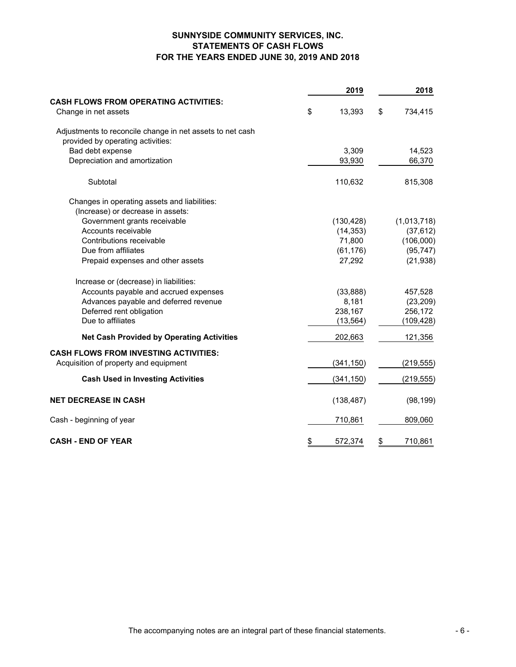# **SUNNYSIDE COMMUNITY SERVICES, INC. STATEMENTS OF CASH FLOWS FOR THE YEARS ENDED JUNE 30, 2019 AND 2018**

|                                                           | 2019          | 2018          |
|-----------------------------------------------------------|---------------|---------------|
| <b>CASH FLOWS FROM OPERATING ACTIVITIES:</b>              |               |               |
| Change in net assets                                      | \$<br>13,393  | \$<br>734,415 |
| Adjustments to reconcile change in net assets to net cash |               |               |
| provided by operating activities:                         |               |               |
| Bad debt expense                                          | 3,309         | 14,523        |
| Depreciation and amortization                             | 93,930        | 66,370        |
| Subtotal                                                  | 110,632       | 815,308       |
| Changes in operating assets and liabilities:              |               |               |
| (Increase) or decrease in assets:                         |               |               |
| Government grants receivable                              | (130, 428)    | (1,013,718)   |
| Accounts receivable                                       | (14, 353)     | (37, 612)     |
| Contributions receivable                                  | 71,800        | (106,000)     |
| Due from affiliates                                       | (61, 176)     | (95, 747)     |
| Prepaid expenses and other assets                         | 27,292        | (21, 938)     |
| Increase or (decrease) in liabilities:                    |               |               |
| Accounts payable and accrued expenses                     | (33, 888)     | 457,528       |
| Advances payable and deferred revenue                     | 8,181         | (23, 209)     |
| Deferred rent obligation                                  | 238,167       | 256,172       |
| Due to affiliates                                         | (13, 564)     | (109, 428)    |
| <b>Net Cash Provided by Operating Activities</b>          | 202,663       | 121,356       |
| <b>CASH FLOWS FROM INVESTING ACTIVITIES:</b>              |               |               |
| Acquisition of property and equipment                     | (341, 150)    | (219, 555)    |
| <b>Cash Used in Investing Activities</b>                  | (341, 150)    | (219, 555)    |
| <b>NET DECREASE IN CASH</b>                               | (138, 487)    | (98, 199)     |
| Cash - beginning of year                                  | 710,861       | 809,060       |
| <b>CASH - END OF YEAR</b>                                 | \$<br>572,374 | \$<br>710,861 |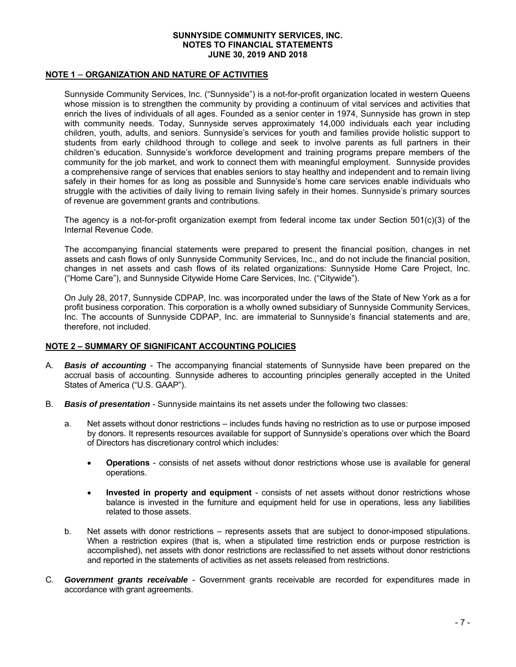# **NOTE 1** – **ORGANIZATION AND NATURE OF ACTIVITIES**

Sunnyside Community Services, Inc. ("Sunnyside") is a not-for-profit organization located in western Queens whose mission is to strengthen the community by providing a continuum of vital services and activities that enrich the lives of individuals of all ages. Founded as a senior center in 1974, Sunnyside has grown in step with community needs. Today, Sunnyside serves approximately 14,000 individuals each year including children, youth, adults, and seniors. Sunnyside's services for youth and families provide holistic support to students from early childhood through to college and seek to involve parents as full partners in their children's education. Sunnyside's workforce development and training programs prepare members of the community for the job market, and work to connect them with meaningful employment. Sunnyside provides a comprehensive range of services that enables seniors to stay healthy and independent and to remain living safely in their homes for as long as possible and Sunnyside's home care services enable individuals who struggle with the activities of daily living to remain living safely in their homes. Sunnyside's primary sources of revenue are government grants and contributions.

The agency is a not-for-profit organization exempt from federal income tax under Section 501(c)(3) of the Internal Revenue Code.

The accompanying financial statements were prepared to present the financial position, changes in net assets and cash flows of only Sunnyside Community Services, Inc., and do not include the financial position, changes in net assets and cash flows of its related organizations: Sunnyside Home Care Project, Inc. ("Home Care"), and Sunnyside Citywide Home Care Services, Inc. ("Citywide").

On July 28, 2017, Sunnyside CDPAP, Inc. was incorporated under the laws of the State of New York as a for profit business corporation. This corporation is a wholly owned subsidiary of Sunnyside Community Services, Inc. The accounts of Sunnyside CDPAP, Inc. are immaterial to Sunnyside's financial statements and are, therefore, not included.

# **NOTE 2 – SUMMARY OF SIGNIFICANT ACCOUNTING POLICIES**

- A. *Basis of accounting* The accompanying financial statements of Sunnyside have been prepared on the accrual basis of accounting. Sunnyside adheres to accounting principles generally accepted in the United States of America ("U.S. GAAP").
- B. *Basis of presentation* Sunnyside maintains its net assets under the following two classes:
	- a. Net assets without donor restrictions includes funds having no restriction as to use or purpose imposed by donors. It represents resources available for support of Sunnyside's operations over which the Board of Directors has discretionary control which includes:
		- **Operations** consists of net assets without donor restrictions whose use is available for general operations.
		- **Invested in property and equipment** consists of net assets without donor restrictions whose balance is invested in the furniture and equipment held for use in operations, less any liabilities related to those assets.
	- b. Net assets with donor restrictions represents assets that are subject to donor-imposed stipulations. When a restriction expires (that is, when a stipulated time restriction ends or purpose restriction is accomplished), net assets with donor restrictions are reclassified to net assets without donor restrictions and reported in the statements of activities as net assets released from restrictions.
- C. *Government grants receivable*  Government grants receivable are recorded for expenditures made in accordance with grant agreements.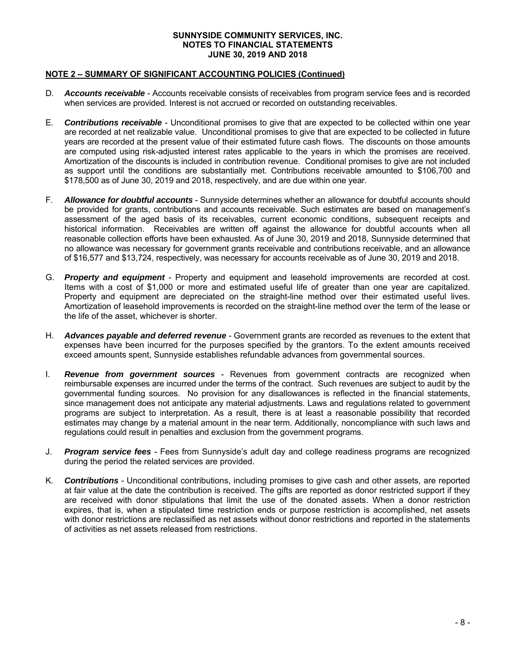# **NOTE 2 – SUMMARY OF SIGNIFICANT ACCOUNTING POLICIES (Continued)**

- D. *Accounts receivable* Accounts receivable consists of receivables from program service fees and is recorded when services are provided. Interest is not accrued or recorded on outstanding receivables.
- E. *Contributions receivable*  Unconditional promises to give that are expected to be collected within one year are recorded at net realizable value. Unconditional promises to give that are expected to be collected in future years are recorded at the present value of their estimated future cash flows. The discounts on those amounts are computed using risk-adjusted interest rates applicable to the years in which the promises are received. Amortization of the discounts is included in contribution revenue. Conditional promises to give are not included as support until the conditions are substantially met. Contributions receivable amounted to \$106,700 and \$178,500 as of June 30, 2019 and 2018, respectively, and are due within one year.
- F. *Allowance for doubtful accounts*  Sunnyside determines whether an allowance for doubtful accounts should be provided for grants, contributions and accounts receivable. Such estimates are based on management's assessment of the aged basis of its receivables, current economic conditions, subsequent receipts and historical information. Receivables are written off against the allowance for doubtful accounts when all reasonable collection efforts have been exhausted. As of June 30, 2019 and 2018, Sunnyside determined that no allowance was necessary for government grants receivable and contributions receivable, and an allowance of \$16,577 and \$13,724, respectively, was necessary for accounts receivable as of June 30, 2019 and 2018.
- G. *Property and equipment*  Property and equipment and leasehold improvements are recorded at cost. Items with a cost of \$1,000 or more and estimated useful life of greater than one year are capitalized. Property and equipment are depreciated on the straight-line method over their estimated useful lives. Amortization of leasehold improvements is recorded on the straight-line method over the term of the lease or the life of the asset, whichever is shorter.
- H. *Advances payable and deferred revenue* Government grants are recorded as revenues to the extent that expenses have been incurred for the purposes specified by the grantors. To the extent amounts received exceed amounts spent, Sunnyside establishes refundable advances from governmental sources.
- I. *Revenue from government sources*  Revenues from government contracts are recognized when reimbursable expenses are incurred under the terms of the contract. Such revenues are subject to audit by the governmental funding sources. No provision for any disallowances is reflected in the financial statements, since management does not anticipate any material adjustments. Laws and regulations related to government programs are subject to interpretation. As a result, there is at least a reasonable possibility that recorded estimates may change by a material amount in the near term. Additionally, noncompliance with such laws and regulations could result in penalties and exclusion from the government programs.
- J. *Program service fees* Fees from Sunnyside's adult day and college readiness programs are recognized during the period the related services are provided.
- K. *Contributions*  Unconditional contributions, including promises to give cash and other assets, are reported at fair value at the date the contribution is received. The gifts are reported as donor restricted support if they are received with donor stipulations that limit the use of the donated assets. When a donor restriction expires, that is, when a stipulated time restriction ends or purpose restriction is accomplished, net assets with donor restrictions are reclassified as net assets without donor restrictions and reported in the statements of activities as net assets released from restrictions.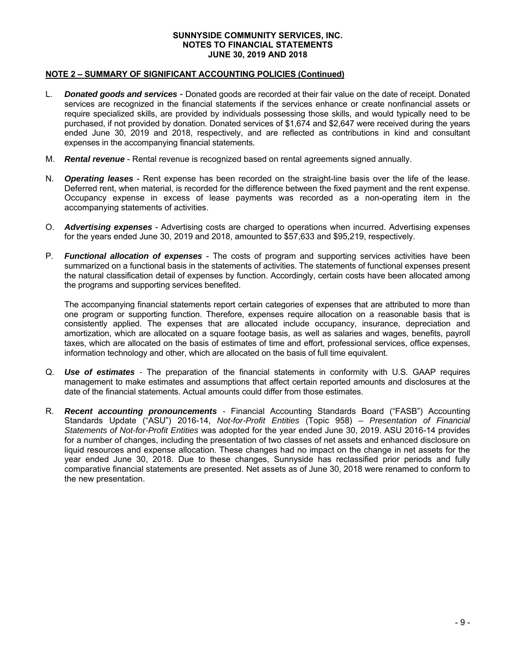# **NOTE 2 – SUMMARY OF SIGNIFICANT ACCOUNTING POLICIES (Continued)**

- L. *Donated goods and services* Donated goods are recorded at their fair value on the date of receipt. Donated services are recognized in the financial statements if the services enhance or create nonfinancial assets or require specialized skills, are provided by individuals possessing those skills, and would typically need to be purchased, if not provided by donation. Donated services of \$1,674 and \$2,647 were received during the years ended June 30, 2019 and 2018, respectively, and are reflected as contributions in kind and consultant expenses in the accompanying financial statements.
- M. *Rental revenue* Rental revenue is recognized based on rental agreements signed annually.
- N. *Operating leases* Rent expense has been recorded on the straight-line basis over the life of the lease. Deferred rent, when material, is recorded for the difference between the fixed payment and the rent expense. Occupancy expense in excess of lease payments was recorded as a non-operating item in the accompanying statements of activities.
- O. *Advertising expenses*  Advertising costs are charged to operations when incurred. Advertising expenses for the years ended June 30, 2019 and 2018, amounted to \$57,633 and \$95,219, respectively.
- P. *Functional allocation of expenses* The costs of program and supporting services activities have been summarized on a functional basis in the statements of activities. The statements of functional expenses present the natural classification detail of expenses by function. Accordingly, certain costs have been allocated among the programs and supporting services benefited.

The accompanying financial statements report certain categories of expenses that are attributed to more than one program or supporting function. Therefore, expenses require allocation on a reasonable basis that is consistently applied. The expenses that are allocated include occupancy, insurance, depreciation and amortization, which are allocated on a square footage basis, as well as salaries and wages, benefits, payroll taxes, which are allocated on the basis of estimates of time and effort, professional services, office expenses, information technology and other, which are allocated on the basis of full time equivalent.

- Q. *Use of estimates* The preparation of the financial statements in conformity with U.S. GAAP requires management to make estimates and assumptions that affect certain reported amounts and disclosures at the date of the financial statements. Actual amounts could differ from those estimates.
- R. *Recent accounting pronouncements -* Financial Accounting Standards Board ("FASB") Accounting Standards Update ("ASU") 2016-14, *Not-for-Profit Entities* (Topic 958) *– Presentation of Financial Statements of Not-for-Profit Entities* was adopted for the year ended June 30, 2019. ASU 2016-14 provides for a number of changes, including the presentation of two classes of net assets and enhanced disclosure on liquid resources and expense allocation. These changes had no impact on the change in net assets for the year ended June 30, 2018. Due to these changes, Sunnyside has reclassified prior periods and fully comparative financial statements are presented. Net assets as of June 30, 2018 were renamed to conform to the new presentation.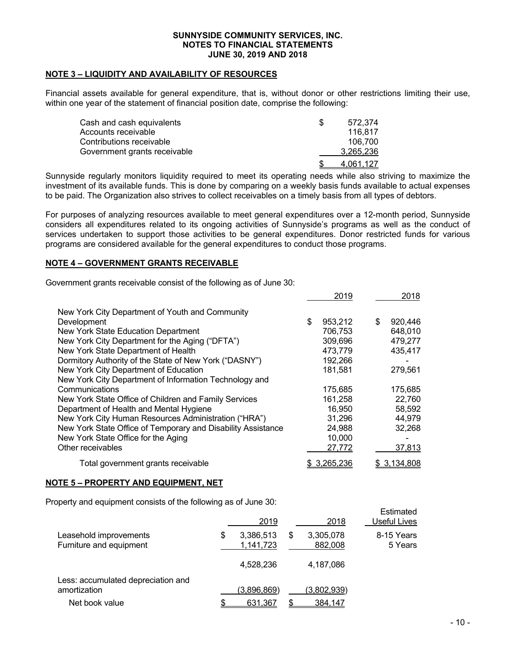# **NOTE 3 – LIQUIDITY AND AVAILABILITY OF RESOURCES**

Financial assets available for general expenditure, that is, without donor or other restrictions limiting their use, within one year of the statement of financial position date, comprise the following:

| Cash and cash equivalents    | 572.374   |
|------------------------------|-----------|
| Accounts receivable          | 116.817   |
| Contributions receivable     | 106.700   |
| Government grants receivable | 3,265,236 |
|                              | 4.061.127 |

Sunnyside regularly monitors liquidity required to meet its operating needs while also striving to maximize the investment of its available funds. This is done by comparing on a weekly basis funds available to actual expenses to be paid. The Organization also strives to collect receivables on a timely basis from all types of debtors.

For purposes of analyzing resources available to meet general expenditures over a 12-month period, Sunnyside considers all expenditures related to its ongoing activities of Sunnyside's programs as well as the conduct of services undertaken to support those activities to be general expenditures. Donor restricted funds for various programs are considered available for the general expenditures to conduct those programs.

# **NOTE 4 – GOVERNMENT GRANTS RECEIVABLE**

Government grants receivable consist of the following as of June 30:

|                                                              | 2019          | 2018          |
|--------------------------------------------------------------|---------------|---------------|
| New York City Department of Youth and Community              |               |               |
| Development                                                  | \$<br>953,212 | \$<br>920,446 |
| New York State Education Department                          | 706.753       | 648,010       |
| New York City Department for the Aging ("DFTA")              | 309,696       | 479,277       |
| New York State Department of Health                          | 473,779       | 435,417       |
| Dormitory Authority of the State of New York ("DASNY")       | 192,266       |               |
| New York City Department of Education                        | 181,581       | 279,561       |
| New York City Department of Information Technology and       |               |               |
| Communications                                               | 175.685       | 175,685       |
| New York State Office of Children and Family Services        | 161,258       | 22,760        |
| Department of Health and Mental Hygiene                      | 16,950        | 58,592        |
| New York City Human Resources Administration ("HRA")         | 31,296        | 44,979        |
| New York State Office of Temporary and Disability Assistance | 24,988        | 32,268        |
| New York State Office for the Aging                          | 10,000        |               |
| Other receivables                                            | 27,772        | 37,813        |
| Total government grants receivable                           | 3,265,236     | 3,134,808     |

# **NOTE 5 – PROPERTY AND EQUIPMENT, NET**

Property and equipment consists of the following as of June 30:

|                                                    | 2019                         |   | 2018                 | countated<br>Useful Lives |
|----------------------------------------------------|------------------------------|---|----------------------|---------------------------|
| Leasehold improvements<br>Furniture and equipment  | \$<br>3,386,513<br>1,141,723 | S | 3,305,078<br>882,008 | 8-15 Years<br>5 Years     |
|                                                    | 4,528,236                    |   | 4,187,086            |                           |
| Less: accumulated depreciation and<br>amortization | (3,896,869)                  |   | (3,802,939)          |                           |
| Net book value                                     | 631,367                      |   | 384,147              |                           |

Estimated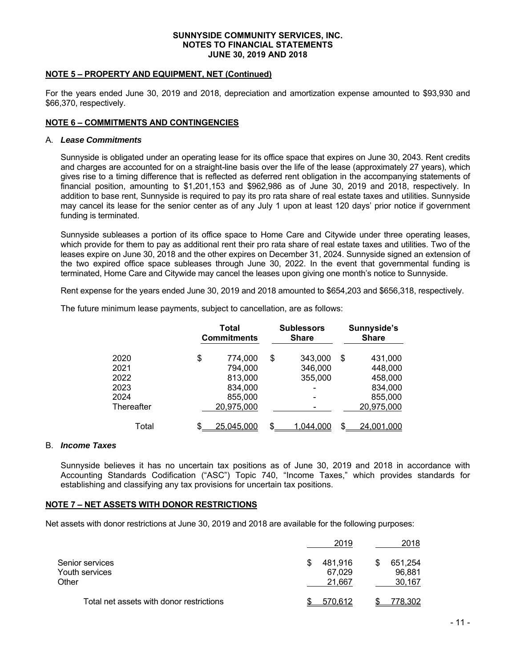# **NOTE 5 – PROPERTY AND EQUIPMENT, NET (Continued)**

For the years ended June 30, 2019 and 2018, depreciation and amortization expense amounted to \$93,930 and \$66,370, respectively.

# **NOTE 6 – COMMITMENTS AND CONTINGENCIES**

#### A. *Lease Commitments*

Sunnyside is obligated under an operating lease for its office space that expires on June 30, 2043. Rent credits and charges are accounted for on a straight-line basis over the life of the lease (approximately 27 years), which gives rise to a timing difference that is reflected as deferred rent obligation in the accompanying statements of financial position, amounting to \$1,201,153 and \$962,986 as of June 30, 2019 and 2018, respectively. In addition to base rent, Sunnyside is required to pay its pro rata share of real estate taxes and utilities. Sunnyside may cancel its lease for the senior center as of any July 1 upon at least 120 days' prior notice if government funding is terminated.

Sunnyside subleases a portion of its office space to Home Care and Citywide under three operating leases, which provide for them to pay as additional rent their pro rata share of real estate taxes and utilities. Two of the leases expire on June 30, 2018 and the other expires on December 31, 2024. Sunnyside signed an extension of the two expired office space subleases through June 30, 2022. In the event that governmental funding is terminated, Home Care and Citywide may cancel the leases upon giving one month's notice to Sunnyside.

Rent expense for the years ended June 30, 2019 and 2018 amounted to \$654,203 and \$656,318, respectively.

The future minimum lease payments, subject to cancellation, are as follows:

|            | Total<br><b>Commitments</b> | <b>Sublessors</b><br><b>Share</b> |    | Sunnyside's<br><b>Share</b> |
|------------|-----------------------------|-----------------------------------|----|-----------------------------|
| 2020       | \$<br>774,000               | \$<br>343,000                     | \$ | 431,000                     |
| 2021       | 794,000                     | 346,000                           |    | 448,000                     |
| 2022       | 813,000                     | 355,000                           |    | 458,000                     |
| 2023       | 834,000                     | $\overline{\phantom{0}}$          |    | 834,000                     |
| 2024       | 855,000                     |                                   |    | 855,000                     |
| Thereafter | 20,975,000                  |                                   |    | 20,975,000                  |
| Total      | \$<br>25.045.000            | \$<br>1.0 <u>44.000</u>           | .ፍ | <u>24,001,000</u>           |

# B. *Income Taxes*

Sunnyside believes it has no uncertain tax positions as of June 30, 2019 and 2018 in accordance with Accounting Standards Codification ("ASC") Topic 740, "Income Taxes," which provides standards for establishing and classifying any tax provisions for uncertain tax positions.

# **NOTE 7 – NET ASSETS WITH DONOR RESTRICTIONS**

Net assets with donor restrictions at June 30, 2019 and 2018 are available for the following purposes:

|                                          |   | 2019             | 2018             |
|------------------------------------------|---|------------------|------------------|
| Senior services                          | S | 481.916          | 651,254          |
| Youth services<br>Other                  |   | 67,029<br>21,667 | 96,881<br>30,167 |
| Total net assets with donor restrictions |   | 570.612          | 778.302          |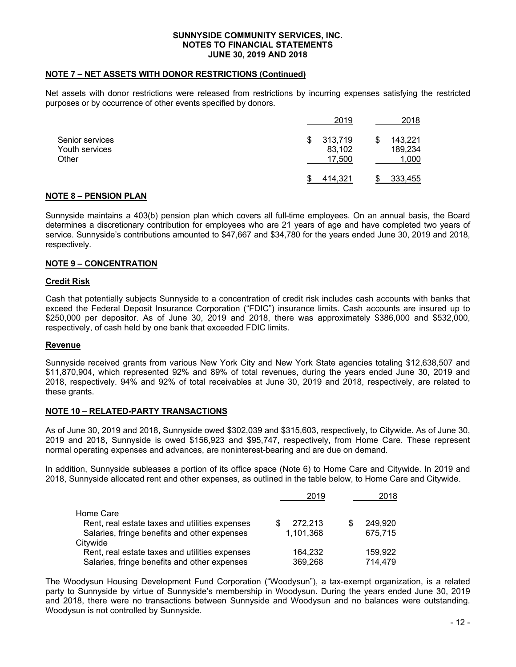# **NOTE 7 – NET ASSETS WITH DONOR RESTRICTIONS (Continued)**

Net assets with donor restrictions were released from restrictions by incurring expenses satisfying the restricted purposes or by occurrence of other events specified by donors.

|                                            | 2019                             | 2018                        |
|--------------------------------------------|----------------------------------|-----------------------------|
| Senior services<br>Youth services<br>Other | 313,719<br>S<br>83,102<br>17,500 | 143,221<br>189,234<br>1,000 |
|                                            | 414,321                          | 333,455                     |

# **NOTE 8 – PENSION PLAN**

Sunnyside maintains a 403(b) pension plan which covers all full-time employees. On an annual basis, the Board determines a discretionary contribution for employees who are 21 years of age and have completed two years of service. Sunnyside's contributions amounted to \$47,667 and \$34,780 for the years ended June 30, 2019 and 2018, respectively.

# **NOTE 9 – CONCENTRATION**

# **Credit Risk**

Cash that potentially subjects Sunnyside to a concentration of credit risk includes cash accounts with banks that exceed the Federal Deposit Insurance Corporation ("FDIC") insurance limits. Cash accounts are insured up to \$250,000 per depositor. As of June 30, 2019 and 2018, there was approximately \$386,000 and \$532,000, respectively, of cash held by one bank that exceeded FDIC limits.

# **Revenue**

Sunnyside received grants from various New York City and New York State agencies totaling \$12,638,507 and \$11,870,904, which represented 92% and 89% of total revenues, during the years ended June 30, 2019 and 2018, respectively. 94% and 92% of total receivables at June 30, 2019 and 2018, respectively, are related to these grants.

# **NOTE 10 – RELATED-PARTY TRANSACTIONS**

As of June 30, 2019 and 2018, Sunnyside owed \$302,039 and \$315,603, respectively, to Citywide. As of June 30, 2019 and 2018, Sunnyside is owed \$156,923 and \$95,747, respectively, from Home Care. These represent normal operating expenses and advances, are noninterest-bearing and are due on demand.

In addition, Sunnyside subleases a portion of its office space (Note 6) to Home Care and Citywide. In 2019 and 2018, Sunnyside allocated rent and other expenses, as outlined in the table below, to Home Care and Citywide.

|                                                | 2019      | 2018    |
|------------------------------------------------|-----------|---------|
| Home Care                                      |           |         |
| Rent, real estate taxes and utilities expenses | 272.213   | 249,920 |
| Salaries, fringe benefits and other expenses   | 1.101.368 | 675,715 |
| Citvwide                                       |           |         |
| Rent, real estate taxes and utilities expenses | 164,232   | 159.922 |
| Salaries, fringe benefits and other expenses   | 369,268   | 714,479 |

The Woodysun Housing Development Fund Corporation ("Woodysun"), a tax-exempt organization, is a related party to Sunnyside by virtue of Sunnyside's membership in Woodysun. During the years ended June 30, 2019 and 2018, there were no transactions between Sunnyside and Woodysun and no balances were outstanding. Woodysun is not controlled by Sunnyside.